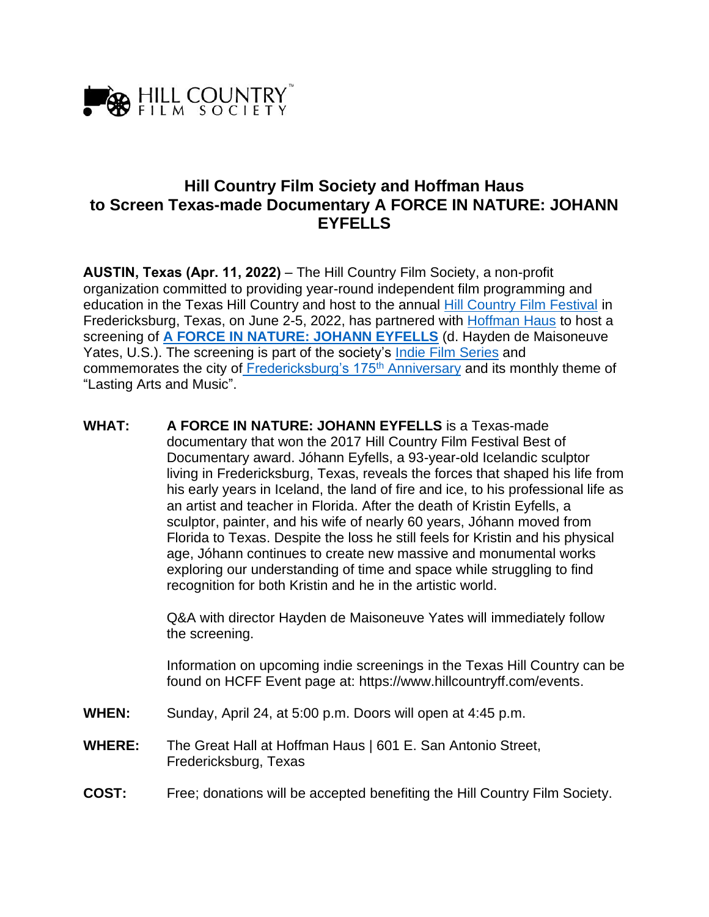

# **Hill Country Film Society and Hoffman Haus to Screen Texas-made Documentary A FORCE IN NATURE: JOHANN EYFELLS**

**AUSTIN, Texas (Apr. 11, 2022)** – The Hill Country Film Society, a non-profit organization committed to providing year-round independent film programming and education in the Texas Hill Country and host to the annual [Hill Country Film Festival](http://www.hillcountryff.com/) in Fredericksburg, Texas, on June 2-5, 2022, has partnered with [Hoffman Haus](http://www.hoffmanhaus.com/) to host a screening of **[A FORCE IN NATURE: JOHANN EYFELLS](https://www.imdb.com/title/tt6093352/)** (d. Hayden de Maisoneuve Yates, U.S.). The screening is part of the society's [Indie Film Series](https://www.hillcountryff.com/indie-film-series) and commemorates the city of [Fredericksburg's 175](https://175th.org/)<sup>th</sup> Anniversary and its monthly theme of "Lasting Arts and Music".

**WHAT: A FORCE IN NATURE: JOHANN EYFELLS** is a Texas-made documentary that won the 2017 Hill Country Film Festival Best of Documentary award. Jóhann Eyfells, a 93-year-old Icelandic sculptor living in Fredericksburg, Texas, reveals the forces that shaped his life from his early years in Iceland, the land of fire and ice, to his professional life as an artist and teacher in Florida. After the death of Kristin Eyfells, a sculptor, painter, and his wife of nearly 60 years, Jóhann moved from Florida to Texas. Despite the loss he still feels for Kristin and his physical age, Jóhann continues to create new massive and monumental works exploring our understanding of time and space while struggling to find recognition for both Kristin and he in the artistic world.

> Q&A with director Hayden de Maisoneuve Yates will immediately follow the screening.

Information on upcoming indie screenings in the Texas Hill Country can be found on HCFF Event page at: https://www.hillcountryff.com/events.

- **WHEN:** Sunday, April 24, at 5:00 p.m. Doors will open at 4:45 p.m.
- **WHERE:** The Great Hall at Hoffman Haus | 601 E. San Antonio Street, Fredericksburg, Texas
- **COST:** Free; donations will be accepted benefiting the Hill Country Film Society.